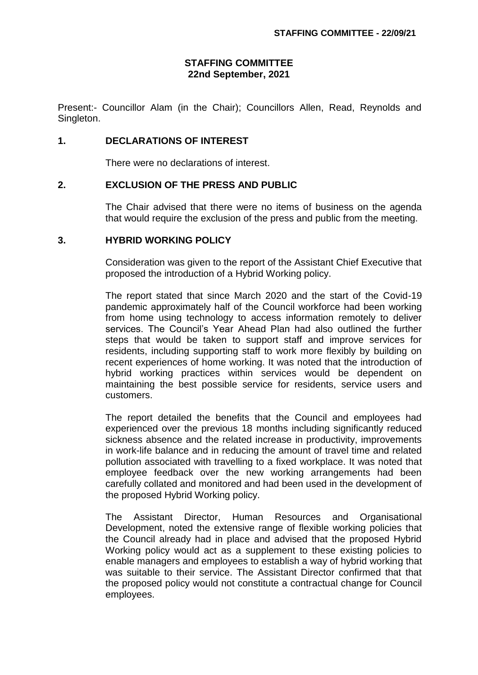# **STAFFING COMMITTEE 22nd September, 2021**

Present:- Councillor Alam (in the Chair); Councillors Allen, Read, Reynolds and Singleton.

## **1. DECLARATIONS OF INTEREST**

There were no declarations of interest.

## **2. EXCLUSION OF THE PRESS AND PUBLIC**

The Chair advised that there were no items of business on the agenda that would require the exclusion of the press and public from the meeting.

#### **3. HYBRID WORKING POLICY**

Consideration was given to the report of the Assistant Chief Executive that proposed the introduction of a Hybrid Working policy.

The report stated that since March 2020 and the start of the Covid-19 pandemic approximately half of the Council workforce had been working from home using technology to access information remotely to deliver services. The Council's Year Ahead Plan had also outlined the further steps that would be taken to support staff and improve services for residents, including supporting staff to work more flexibly by building on recent experiences of home working. It was noted that the introduction of hybrid working practices within services would be dependent on maintaining the best possible service for residents, service users and customers.

The report detailed the benefits that the Council and employees had experienced over the previous 18 months including significantly reduced sickness absence and the related increase in productivity, improvements in work-life balance and in reducing the amount of travel time and related pollution associated with travelling to a fixed workplace. It was noted that employee feedback over the new working arrangements had been carefully collated and monitored and had been used in the development of the proposed Hybrid Working policy.

The Assistant Director, Human Resources and Organisational Development, noted the extensive range of flexible working policies that the Council already had in place and advised that the proposed Hybrid Working policy would act as a supplement to these existing policies to enable managers and employees to establish a way of hybrid working that was suitable to their service. The Assistant Director confirmed that that the proposed policy would not constitute a contractual change for Council employees.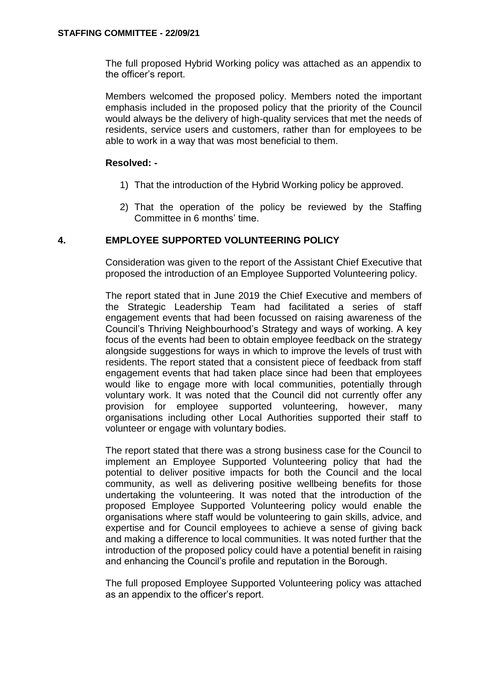The full proposed Hybrid Working policy was attached as an appendix to the officer's report.

Members welcomed the proposed policy. Members noted the important emphasis included in the proposed policy that the priority of the Council would always be the delivery of high-quality services that met the needs of residents, service users and customers, rather than for employees to be able to work in a way that was most beneficial to them.

## **Resolved: -**

- 1) That the introduction of the Hybrid Working policy be approved.
- 2) That the operation of the policy be reviewed by the Staffing Committee in 6 months' time.

## **4. EMPLOYEE SUPPORTED VOLUNTEERING POLICY**

Consideration was given to the report of the Assistant Chief Executive that proposed the introduction of an Employee Supported Volunteering policy.

The report stated that in June 2019 the Chief Executive and members of the Strategic Leadership Team had facilitated a series of staff engagement events that had been focussed on raising awareness of the Council's Thriving Neighbourhood's Strategy and ways of working. A key focus of the events had been to obtain employee feedback on the strategy alongside suggestions for ways in which to improve the levels of trust with residents. The report stated that a consistent piece of feedback from staff engagement events that had taken place since had been that employees would like to engage more with local communities, potentially through voluntary work. It was noted that the Council did not currently offer any provision for employee supported volunteering, however, many organisations including other Local Authorities supported their staff to volunteer or engage with voluntary bodies.

The report stated that there was a strong business case for the Council to implement an Employee Supported Volunteering policy that had the potential to deliver positive impacts for both the Council and the local community, as well as delivering positive wellbeing benefits for those undertaking the volunteering. It was noted that the introduction of the proposed Employee Supported Volunteering policy would enable the organisations where staff would be volunteering to gain skills, advice, and expertise and for Council employees to achieve a sense of giving back and making a difference to local communities. It was noted further that the introduction of the proposed policy could have a potential benefit in raising and enhancing the Council's profile and reputation in the Borough.

The full proposed Employee Supported Volunteering policy was attached as an appendix to the officer's report.